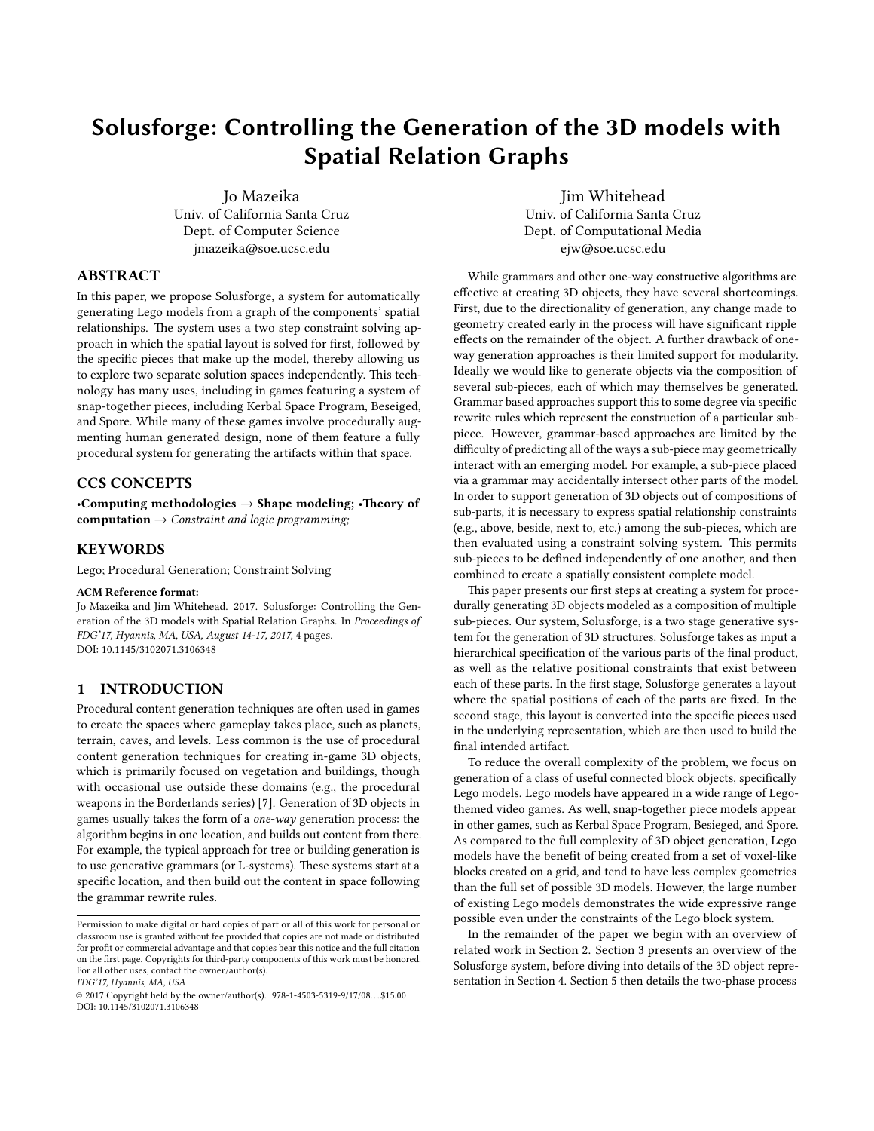# Solusforge: Controlling the Generation of the 3D models with Spatial Relation Graphs

Jo Mazeika Univ. of California Santa Cruz Dept. of Computer Science jmazeika@soe.ucsc.edu

Jim Whitehead Univ. of California Santa Cruz Dept. of Computational Media ejw@soe.ucsc.edu

# ABSTRACT

In this paper, we propose Solusforge, a system for automatically generating Lego models from a graph of the components' spatial relationships. The system uses a two step constraint solving approach in which the spatial layout is solved for first, followed by the specific pieces that make up the model, thereby allowing us to explore two separate solution spaces independently. This technology has many uses, including in games featuring a system of snap-together pieces, including Kerbal Space Program, Beseiged, and Spore. While many of these games involve procedurally augmenting human generated design, none of them feature a fully procedural system for generating the artifacts within that space.

#### CCS CONCEPTS

•Computing methodologies  $\rightarrow$  Shape modeling; •Theory of computation  $\rightarrow$  Constraint and logic programming;

# KEYWORDS

Lego; Procedural Generation; Constraint Solving

#### ACM Reference format:

Jo Mazeika and Jim Whitehead. 2017. Solusforge: Controlling the Generation of the 3D models with Spatial Relation Graphs. In Proceedings of FDG'17, Hyannis, MA, USA, August 14-17, 2017, [4](#page-3-0) pages. DOI: 10.1145/3102071.3106348

#### 1 INTRODUCTION

Procedural content generation techniques are often used in games to create the spaces where gameplay takes place, such as planets, terrain, caves, and levels. Less common is the use of procedural content generation techniques for creating in-game 3D objects, which is primarily focused on vegetation and buildings, though with occasional use outside these domains (e.g., the procedural weapons in the Borderlands series) [\[7\]](#page-3-1). Generation of 3D objects in games usually takes the form of a one-way generation process: the algorithm begins in one location, and builds out content from there. For example, the typical approach for tree or building generation is to use generative grammars (or L-systems). These systems start at a specific location, and then build out the content in space following the grammar rewrite rules.

FDG'17, Hyannis, MA, USA

While grammars and other one-way constructive algorithms are effective at creating 3D objects, they have several shortcomings. First, due to the directionality of generation, any change made to geometry created early in the process will have signicant ripple effects on the remainder of the object. A further drawback of oneway generation approaches is their limited support for modularity. Ideally we would like to generate objects via the composition of several sub-pieces, each of which may themselves be generated. Grammar based approaches support this to some degree via specific rewrite rules which represent the construction of a particular subpiece. However, grammar-based approaches are limited by the difficulty of predicting all of the ways a sub-piece may geometrically interact with an emerging model. For example, a sub-piece placed via a grammar may accidentally intersect other parts of the model. In order to support generation of 3D objects out of compositions of sub-parts, it is necessary to express spatial relationship constraints (e.g., above, beside, next to, etc.) among the sub-pieces, which are then evaluated using a constraint solving system. This permits sub-pieces to be defined independently of one another, and then combined to create a spatially consistent complete model.

This paper presents our first steps at creating a system for procedurally generating 3D objects modeled as a composition of multiple sub-pieces. Our system, Solusforge, is a two stage generative system for the generation of 3D structures. Solusforge takes as input a hierarchical specification of the various parts of the final product, as well as the relative positional constraints that exist between each of these parts. In the first stage, Solusforge generates a layout where the spatial positions of each of the parts are fixed. In the second stage, this layout is converted into the specific pieces used in the underlying representation, which are then used to build the final intended artifact.

To reduce the overall complexity of the problem, we focus on generation of a class of useful connected block objects, specifically Lego models. Lego models have appeared in a wide range of Legothemed video games. As well, snap-together piece models appear in other games, such as Kerbal Space Program, Besieged, and Spore. As compared to the full complexity of 3D object generation, Lego models have the benefit of being created from a set of voxel-like blocks created on a grid, and tend to have less complex geometries than the full set of possible 3D models. However, the large number of existing Lego models demonstrates the wide expressive range possible even under the constraints of the Lego block system.

In the remainder of the paper we begin with an overview of related work in Section [2.](#page-1-0) Section [3](#page-1-1) presents an overview of the Solusforge system, before diving into details of the 3D object representation in Section [4.](#page-1-2) Section [5](#page-2-0) then details the two-phase process

Permission to make digital or hard copies of part or all of this work for personal or classroom use is granted without fee provided that copies are not made or distributed for profit or commercial advantage and that copies bear this notice and the full citation on the first page. Copyrights for third-party components of this work must be honored. For all other uses, contact the owner/author(s).

<sup>©</sup> 2017 Copyright held by the owner/author(s). 978-1-4503-5319-9/17/08. . . \$15.00 DOI: 10.1145/3102071.3106348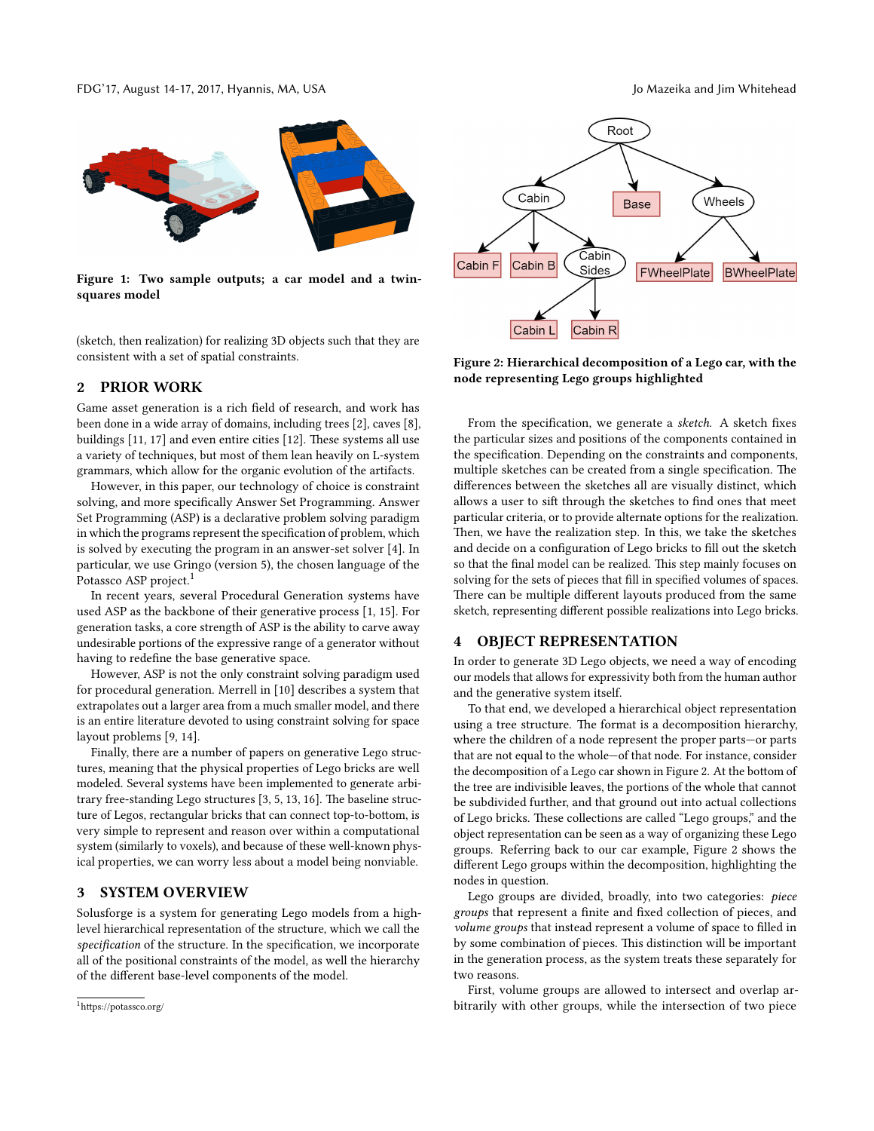FDG'17, August 14-17, 2017, Hyannis, MA, USA Joseph Martin Annual Medicine and Joseph Martin Whitehead

<span id="page-1-5"></span>

Figure 1: Two sample outputs; a car model and a twinsquares model

(sketch, then realization) for realizing 3D objects such that they are consistent with a set of spatial constraints.

#### <span id="page-1-0"></span>2 PRIOR WORK

Game asset generation is a rich field of research, and work has been done in a wide array of domains, including trees [\[2\]](#page-3-2), caves [\[8\]](#page-3-3), buildings [\[11,](#page-3-4) [17\]](#page-3-5) and even entire cities [\[12\]](#page-3-6). These systems all use a variety of techniques, but most of them lean heavily on L-system grammars, which allow for the organic evolution of the artifacts.

However, in this paper, our technology of choice is constraint solving, and more specifically Answer Set Programming. Answer Set Programming (ASP) is a declarative problem solving paradigm in which the programs represent the specification of problem, which is solved by executing the program in an answer-set solver [\[4\]](#page-3-7). In particular, we use Gringo (version 5), the chosen language of the Potassco ASP project.<sup>[1](#page-1-3)</sup>

In recent years, several Procedural Generation systems have used ASP as the backbone of their generative process [\[1,](#page-3-8) [15\]](#page-3-9). For generation tasks, a core strength of ASP is the ability to carve away undesirable portions of the expressive range of a generator without having to redefine the base generative space.

However, ASP is not the only constraint solving paradigm used for procedural generation. Merrell in [\[10\]](#page-3-10) describes a system that extrapolates out a larger area from a much smaller model, and there is an entire literature devoted to using constraint solving for space layout problems [\[9,](#page-3-11) [14\]](#page-3-12).

Finally, there are a number of papers on generative Lego structures, meaning that the physical properties of Lego bricks are well modeled. Several systems have been implemented to generate arbitrary free-standing Lego structures  $[3, 5, 13, 16]$  $[3, 5, 13, 16]$  $[3, 5, 13, 16]$  $[3, 5, 13, 16]$  $[3, 5, 13, 16]$  $[3, 5, 13, 16]$  $[3, 5, 13, 16]$ . The baseline structure of Legos, rectangular bricks that can connect top-to-bottom, is very simple to represent and reason over within a computational system (similarly to voxels), and because of these well-known physical properties, we can worry less about a model being nonviable.

#### <span id="page-1-1"></span>3 SYSTEM OVERVIEW

Solusforge is a system for generating Lego models from a highlevel hierarchical representation of the structure, which we call the specification of the structure. In the specification, we incorporate all of the positional constraints of the model, as well the hierarchy of the different base-level components of the model.

<span id="page-1-3"></span>

<span id="page-1-4"></span>

Figure 2: Hierarchical decomposition of a Lego car, with the node representing Lego groups highlighted

From the specification, we generate a sketch. A sketch fixes the particular sizes and positions of the components contained in the specification. Depending on the constraints and components, multiple sketches can be created from a single specification. The differences between the sketches all are visually distinct, which allows a user to sift through the sketches to find ones that meet particular criteria, or to provide alternate options for the realization. Then, we have the realization step. In this, we take the sketches and decide on a configuration of Lego bricks to fill out the sketch so that the final model can be realized. This step mainly focuses on solving for the sets of pieces that fill in specified volumes of spaces. There can be multiple different layouts produced from the same sketch, representing different possible realizations into Lego bricks.

# <span id="page-1-2"></span>4 OBJECT REPRESENTATION

In order to generate 3D Lego objects, we need a way of encoding our models that allows for expressivity both from the human author and the generative system itself.

To that end, we developed a hierarchical object representation using a tree structure. The format is a decomposition hierarchy, where the children of a node represent the proper parts—or parts that are not equal to the whole—of that node. For instance, consider the decomposition of a Lego car shown in Figure [2.](#page-1-4) At the bottom of the tree are indivisible leaves, the portions of the whole that cannot be subdivided further, and that ground out into actual collections of Lego bricks. These collections are called "Lego groups," and the object representation can be seen as a way of organizing these Lego groups. Referring back to our car example, Figure [2](#page-1-4) shows the different Lego groups within the decomposition, highlighting the nodes in question.

Lego groups are divided, broadly, into two categories: piece groups that represent a finite and fixed collection of pieces, and volume groups that instead represent a volume of space to filled in by some combination of pieces. This distinction will be important in the generation process, as the system treats these separately for two reasons.

First, volume groups are allowed to intersect and overlap arbitrarily with other groups, while the intersection of two piece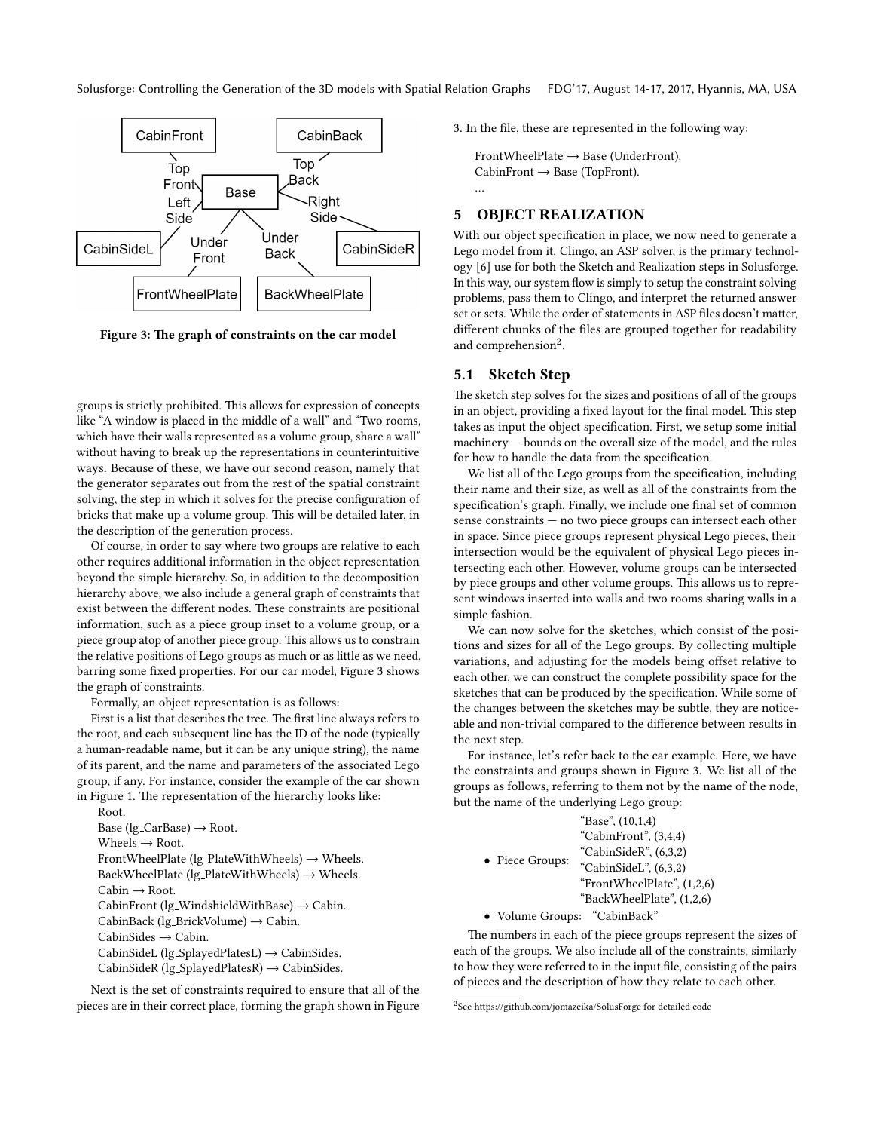<span id="page-2-1"></span>

Figure 3: The graph of constraints on the car model

groups is strictly prohibited. This allows for expression of concepts like "A window is placed in the middle of a wall" and "Two rooms, which have their walls represented as a volume group, share a wall" without having to break up the representations in counterintuitive ways. Because of these, we have our second reason, namely that the generator separates out from the rest of the spatial constraint solving, the step in which it solves for the precise configuration of bricks that make up a volume group. This will be detailed later, in the description of the generation process.

Of course, in order to say where two groups are relative to each other requires additional information in the object representation beyond the simple hierarchy. So, in addition to the decomposition hierarchy above, we also include a general graph of constraints that exist between the different nodes. These constraints are positional information, such as a piece group inset to a volume group, or a piece group atop of another piece group. This allows us to constrain the relative positions of Lego groups as much or as little as we need, barring some fixed properties. For our car model, Figure [3](#page-2-1) shows the graph of constraints.

Formally, an object representation is as follows:

First is a list that describes the tree. The first line always refers to the root, and each subsequent line has the ID of the node (typically a human-readable name, but it can be any unique string), the name of its parent, and the name and parameters of the associated Lego group, if any. For instance, consider the example of the car shown in Figure [1.](#page-1-5) The representation of the hierarchy looks like:

Root. Base ( $lg$ -CarBase)  $\rightarrow$  Root. Wheels  $\rightarrow$  Root. FrontWheelPlate (lg\_PlateWithWheels)  $\rightarrow$  Wheels. BackWheelPlate (lg\_PlateWithWheels)  $\rightarrow$  Wheels.  $Cabin \rightarrow Root$ . CabinFront (lg\_WindshieldWithBase)  $\rightarrow$  Cabin. CabinBack (lg\_BrickVolume)  $\rightarrow$  Cabin.  $CabinSides \rightarrow Cabin.$ CabinSideL (lg\_SplayedPlatesL)  $\rightarrow$  CabinSides. CabinSideR (lg\_SplayedPlatesR)  $\rightarrow$  CabinSides.

Next is the set of constraints required to ensure that all of the pieces are in their correct place, forming the graph shown in Figure [3.](#page-2-1) In the file, these are represented in the following way:

FrontWheelPlate → Base (UnderFront).  $CabinFront \rightarrow Base (TopFront).$ …

# <span id="page-2-0"></span>5 OBJECT REALIZATION

With our object specification in place, we now need to generate a Lego model from it. Clingo, an ASP solver, is the primary technology [\[6\]](#page-3-17) use for both the Sketch and Realization steps in Solusforge. In this way, our system flow is simply to setup the constraint solving problems, pass them to Clingo, and interpret the returned answer set or sets. While the order of statements in ASP files doesn't matter, different chunks of the files are grouped together for readability and comprehension<sup>[2](#page-2-2)</sup>.

# 5.1 Sketch Step

The sketch step solves for the sizes and positions of all of the groups in an object, providing a fixed layout for the final model. This step takes as input the object specification. First, we setup some initial machinery — bounds on the overall size of the model, and the rules for how to handle the data from the specification.

We list all of the Lego groups from the specification, including their name and their size, as well as all of the constraints from the specification's graph. Finally, we include one final set of common sense constraints — no two piece groups can intersect each other in space. Since piece groups represent physical Lego pieces, their intersection would be the equivalent of physical Lego pieces intersecting each other. However, volume groups can be intersected by piece groups and other volume groups. This allows us to represent windows inserted into walls and two rooms sharing walls in a simple fashion.

We can now solve for the sketches, which consist of the positions and sizes for all of the Lego groups. By collecting multiple variations, and adjusting for the models being offset relative to each other, we can construct the complete possibility space for the sketches that can be produced by the specification. While some of the changes between the sketches may be subtle, they are noticeable and non-trivial compared to the difference between results in the next step.

For instance, let's refer back to the car example. Here, we have the constraints and groups shown in Figure [3.](#page-2-1) We list all of the groups as follows, referring to them not by the name of the node, but the name of the underlying Lego group:

|                              | "Base", (10,1,4)           |
|------------------------------|----------------------------|
| • Piece Groups:              | "CabinFront", $(3,4,4)$    |
|                              | "CabinSideR", $(6,3,2)$    |
|                              | "CabinSideL", $(6,3,2)$    |
|                              | "FrontWheelPlate", (1,2,6) |
| "BackWheelPlate", (1,2,6)    |                            |
| • Volume Groups: "CabinBack" |                            |

The numbers in each of the piece groups represent the sizes of each of the groups. We also include all of the constraints, similarly to how they were referred to in the input file, consisting of the pairs of pieces and the description of how they relate to each other.

<span id="page-2-2"></span> $2$ See https://github.com/jomazeika/SolusForge for detailed code